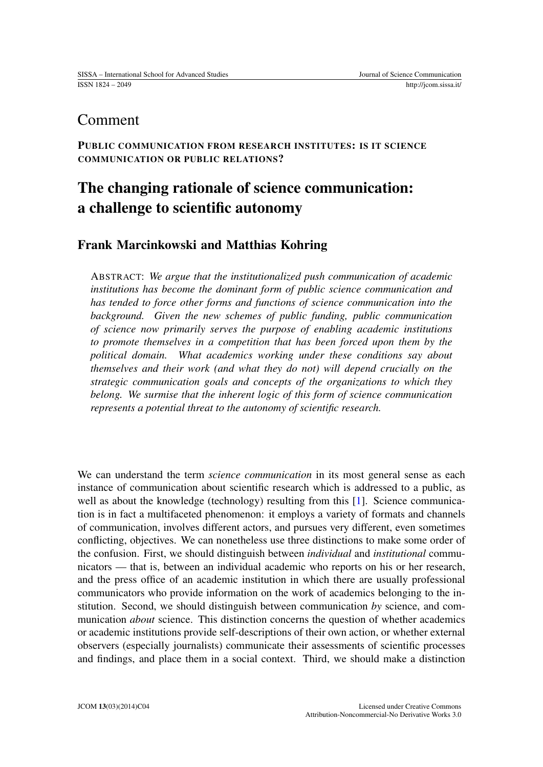## Comment

PUBLIC COMMUNICATION FROM RESEARCH INSTITUTES: IS IT SCIENCE COMMUNICATION OR PUBLIC RELATIONS?

# The changing rationale of science communication: a challenge to scientific autonomy

### Frank Marcinkowski and Matthias Kohring

ABSTRACT: *We argue that the institutionalized push communication of academic institutions has become the dominant form of public science communication and has tended to force other forms and functions of science communication into the background. Given the new schemes of public funding, public communication of science now primarily serves the purpose of enabling academic institutions to promote themselves in a competition that has been forced upon them by the political domain. What academics working under these conditions say about themselves and their work (and what they do not) will depend crucially on the strategic communication goals and concepts of the organizations to which they belong. We surmise that the inherent logic of this form of science communication represents a potential threat to the autonomy of scientific research.*

We can understand the term *science communication* in its most general sense as each instance of communication about scientific research which is addressed to a public, as well as about the knowledge (technology) resulting from this [\[1\]](#page-6-0). Science communication is in fact a multifaceted phenomenon: it employs a variety of formats and channels of communication, involves different actors, and pursues very different, even sometimes conflicting, objectives. We can nonetheless use three distinctions to make some order of the confusion. First, we should distinguish between *individual* and *institutional* communicators — that is, between an individual academic who reports on his or her research, and the press office of an academic institution in which there are usually professional communicators who provide information on the work of academics belonging to the institution. Second, we should distinguish between communication *by* science, and communication *about* science. This distinction concerns the question of whether academics or academic institutions provide self-descriptions of their own action, or whether external observers (especially journalists) communicate their assessments of scientific processes and findings, and place them in a social context. Third, we should make a distinction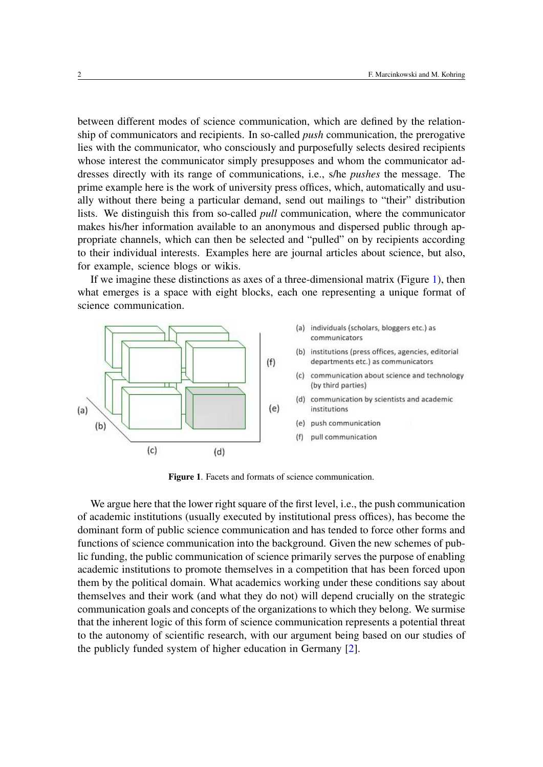between different modes of science communication, which are defined by the relationship of communicators and recipients. In so-called *push* communication, the prerogative lies with the communicator, who consciously and purposefully selects desired recipients whose interest the communicator simply presupposes and whom the communicator addresses directly with its range of communications, i.e., s/he *pushes* the message. The prime example here is the work of university press offices, which, automatically and usually without there being a particular demand, send out mailings to "their" distribution lists. We distinguish this from so-called *pull* communication, where the communicator makes his/her information available to an anonymous and dispersed public through appropriate channels, which can then be selected and "pulled" on by recipients according to their individual interests. Examples here are journal articles about science, but also, for example, science blogs or wikis.

If we imagine these distinctions as axes of a three-dimensional matrix (Figure [1\)](#page-1-0), then what emerges is a space with eight blocks, each one representing a unique format of science communication.



<span id="page-1-0"></span>Figure 1. Facets and formats of science communication.

We argue here that the lower right square of the first level, *i.e.*, the push communication of academic institutions (usually executed by institutional press offices), has become the dominant form of public science communication and has tended to force other forms and functions of science communication into the background. Given the new schemes of public funding, the public communication of science primarily serves the purpose of enabling academic institutions to promote themselves in a competition that has been forced upon them by the political domain. What academics working under these conditions say about themselves and their work (and what they do not) will depend crucially on the strategic communication goals and concepts of the organizations to which they belong. We surmise that the inherent logic of this form of science communication represents a potential threat to the autonomy of scientific research, with our argument being based on our studies of the publicly funded system of higher education in Germany [\[2\]](#page-6-1).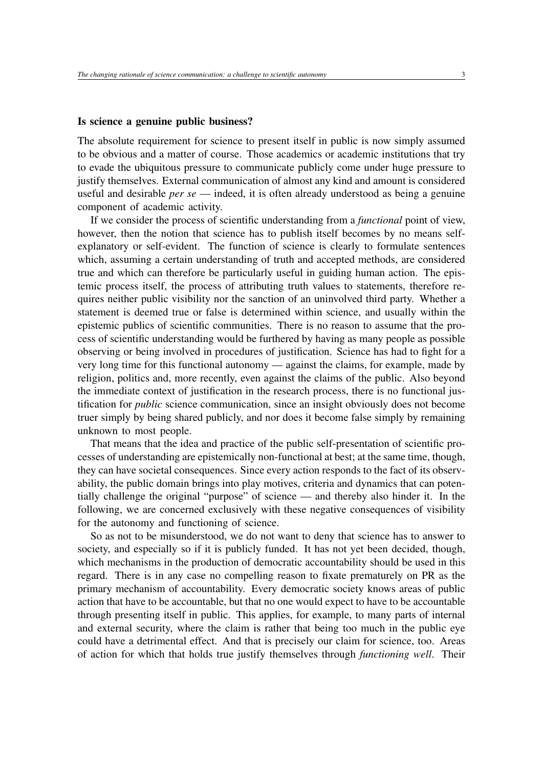#### Is science a genuine public business?

The absolute requirement for science to present itself in public is now simply assumed to be obvious and a matter of course. Those academics or academic institutions that try to evade the ubiquitous pressure to communicate publicly come under huge pressure to justify themselves. External communication of almost any kind and amount is considered useful and desirable *per se* — indeed, it is often already understood as being a genuine component of academic activity.

If we consider the process of scientific understanding from a *functional* point of view, however, then the notion that science has to publish itself becomes by no means selfexplanatory or self-evident. The function of science is clearly to formulate sentences which, assuming a certain understanding of truth and accepted methods, are considered true and which can therefore be particularly useful in guiding human action. The epistemic process itself, the process of attributing truth values to statements, therefore requires neither public visibility nor the sanction of an uninvolved third party. Whether a statement is deemed true or false is determined within science, and usually within the epistemic publics of scientific communities. There is no reason to assume that the process of scientific understanding would be furthered by having as many people as possible observing or being involved in procedures of justification. Science has had to fight for a very long time for this functional autonomy — against the claims, for example, made by religion, politics and, more recently, even against the claims of the public. Also beyond the immediate context of justification in the research process, there is no functional justification for *public* science communication, since an insight obviously does not become truer simply by being shared publicly, and nor does it become false simply by remaining unknown to most people.

That means that the idea and practice of the public self-presentation of scientific processes of understanding are epistemically non-functional at best; at the same time, though, they can have societal consequences. Since every action responds to the fact of its observability, the public domain brings into play motives, criteria and dynamics that can potentially challenge the original "purpose" of science — and thereby also hinder it. In the following, we are concerned exclusively with these negative consequences of visibility for the autonomy and functioning of science.

So as not to be misunderstood, we do not want to deny that science has to answer to society, and especially so if it is publicly funded. It has not yet been decided, though, which mechanisms in the production of democratic accountability should be used in this regard. There is in any case no compelling reason to fixate prematurely on PR as the primary mechanism of accountability. Every democratic society knows areas of public action that have to be accountable, but that no one would expect to have to be accountable through presenting itself in public. This applies, for example, to many parts of internal and external security, where the claim is rather that being too much in the public eye could have a detrimental effect. And that is precisely our claim for science, too. Areas of action for which that holds true justify themselves through *functioning well*. Their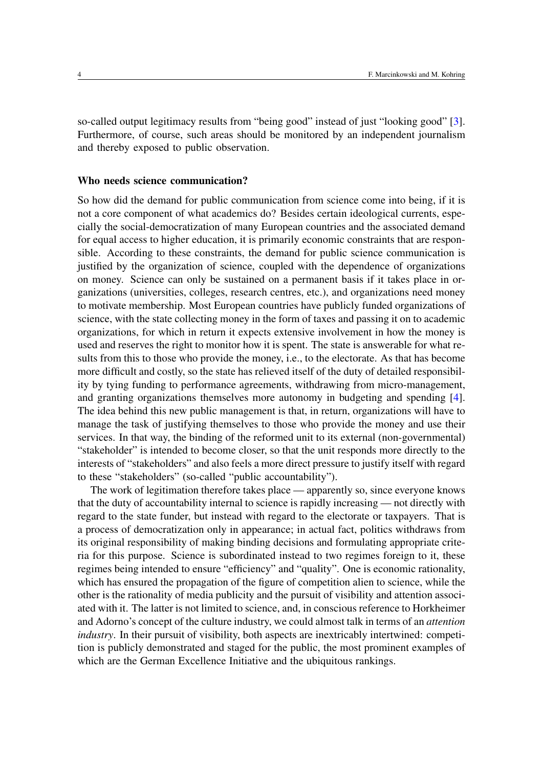so-called output legitimacy results from "being good" instead of just "looking good" [\[3\]](#page-7-0). Furthermore, of course, such areas should be monitored by an independent journalism and thereby exposed to public observation.

#### Who needs science communication?

So how did the demand for public communication from science come into being, if it is not a core component of what academics do? Besides certain ideological currents, especially the social-democratization of many European countries and the associated demand for equal access to higher education, it is primarily economic constraints that are responsible. According to these constraints, the demand for public science communication is justified by the organization of science, coupled with the dependence of organizations on money. Science can only be sustained on a permanent basis if it takes place in organizations (universities, colleges, research centres, etc.), and organizations need money to motivate membership. Most European countries have publicly funded organizations of science, with the state collecting money in the form of taxes and passing it on to academic organizations, for which in return it expects extensive involvement in how the money is used and reserves the right to monitor how it is spent. The state is answerable for what results from this to those who provide the money, i.e., to the electorate. As that has become more difficult and costly, so the state has relieved itself of the duty of detailed responsibility by tying funding to performance agreements, withdrawing from micro-management, and granting organizations themselves more autonomy in budgeting and spending [\[4\]](#page-7-1). The idea behind this new public management is that, in return, organizations will have to manage the task of justifying themselves to those who provide the money and use their services. In that way, the binding of the reformed unit to its external (non-governmental) "stakeholder" is intended to become closer, so that the unit responds more directly to the interests of "stakeholders" and also feels a more direct pressure to justify itself with regard to these "stakeholders" (so-called "public accountability").

The work of legitimation therefore takes place — apparently so, since everyone knows that the duty of accountability internal to science is rapidly increasing — not directly with regard to the state funder, but instead with regard to the electorate or taxpayers. That is a process of democratization only in appearance; in actual fact, politics withdraws from its original responsibility of making binding decisions and formulating appropriate criteria for this purpose. Science is subordinated instead to two regimes foreign to it, these regimes being intended to ensure "efficiency" and "quality". One is economic rationality, which has ensured the propagation of the figure of competition alien to science, while the other is the rationality of media publicity and the pursuit of visibility and attention associated with it. The latter is not limited to science, and, in conscious reference to Horkheimer and Adorno's concept of the culture industry, we could almost talk in terms of an *attention industry*. In their pursuit of visibility, both aspects are inextricably intertwined: competition is publicly demonstrated and staged for the public, the most prominent examples of which are the German Excellence Initiative and the ubiquitous rankings.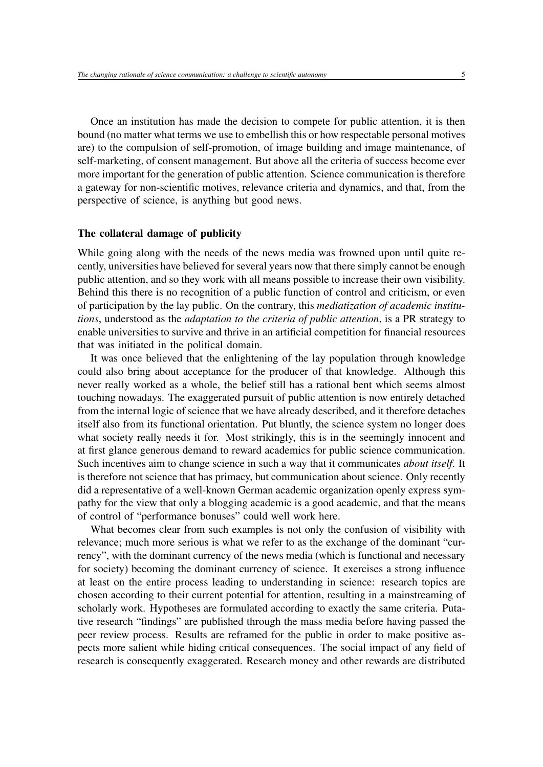Once an institution has made the decision to compete for public attention, it is then bound (no matter what terms we use to embellish this or how respectable personal motives are) to the compulsion of self-promotion, of image building and image maintenance, of self-marketing, of consent management. But above all the criteria of success become ever more important for the generation of public attention. Science communication is therefore a gateway for non-scientific motives, relevance criteria and dynamics, and that, from the perspective of science, is anything but good news.

#### The collateral damage of publicity

While going along with the needs of the news media was frowned upon until quite recently, universities have believed for several years now that there simply cannot be enough public attention, and so they work with all means possible to increase their own visibility. Behind this there is no recognition of a public function of control and criticism, or even of participation by the lay public. On the contrary, this *mediatization of academic institutions*, understood as the *adaptation to the criteria of public attention*, is a PR strategy to enable universities to survive and thrive in an artificial competition for financial resources that was initiated in the political domain.

It was once believed that the enlightening of the lay population through knowledge could also bring about acceptance for the producer of that knowledge. Although this never really worked as a whole, the belief still has a rational bent which seems almost touching nowadays. The exaggerated pursuit of public attention is now entirely detached from the internal logic of science that we have already described, and it therefore detaches itself also from its functional orientation. Put bluntly, the science system no longer does what society really needs it for. Most strikingly, this is in the seemingly innocent and at first glance generous demand to reward academics for public science communication. Such incentives aim to change science in such a way that it communicates *about itself*. It is therefore not science that has primacy, but communication about science. Only recently did a representative of a well-known German academic organization openly express sympathy for the view that only a blogging academic is a good academic, and that the means of control of "performance bonuses" could well work here.

What becomes clear from such examples is not only the confusion of visibility with relevance; much more serious is what we refer to as the exchange of the dominant "currency", with the dominant currency of the news media (which is functional and necessary for society) becoming the dominant currency of science. It exercises a strong influence at least on the entire process leading to understanding in science: research topics are chosen according to their current potential for attention, resulting in a mainstreaming of scholarly work. Hypotheses are formulated according to exactly the same criteria. Putative research "findings" are published through the mass media before having passed the peer review process. Results are reframed for the public in order to make positive aspects more salient while hiding critical consequences. The social impact of any field of research is consequently exaggerated. Research money and other rewards are distributed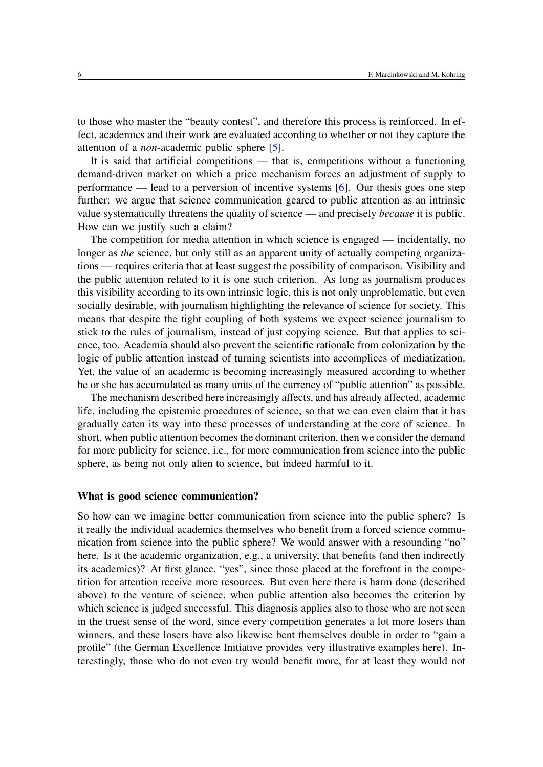to those who master the "beauty contest", and therefore this process is reinforced. In effect, academics and their work are evaluated according to whether or not they capture the attention of a *non*-academic public sphere [\[5\]](#page-7-2).

It is said that artificial competitions — that is, competitions without a functioning demand-driven market on which a price mechanism forces an adjustment of supply to performance — lead to a perversion of incentive systems [\[6\]](#page-7-3). Our thesis goes one step further: we argue that science communication geared to public attention as an intrinsic value systematically threatens the quality of science — and precisely *because* it is public. How can we justify such a claim?

The competition for media attention in which science is engaged — incidentally, no longer as *the* science, but only still as an apparent unity of actually competing organizations — requires criteria that at least suggest the possibility of comparison. Visibility and the public attention related to it is one such criterion. As long as journalism produces this visibility according to its own intrinsic logic, this is not only unproblematic, but even socially desirable, with journalism highlighting the relevance of science for society. This means that despite the tight coupling of both systems we expect science journalism to stick to the rules of journalism, instead of just copying science. But that applies to science, too. Academia should also prevent the scientific rationale from colonization by the logic of public attention instead of turning scientists into accomplices of mediatization. Yet, the value of an academic is becoming increasingly measured according to whether he or she has accumulated as many units of the currency of "public attention" as possible.

The mechanism described here increasingly affects, and has already affected, academic life, including the epistemic procedures of science, so that we can even claim that it has gradually eaten its way into these processes of understanding at the core of science. In short, when public attention becomes the dominant criterion, then we consider the demand for more publicity for science, i.e., for more communication from science into the public sphere, as being not only alien to science, but indeed harmful to it.

#### What is good science communication?

So how can we imagine better communication from science into the public sphere? Is it really the individual academics themselves who benefit from a forced science communication from science into the public sphere? We would answer with a resounding "no" here. Is it the academic organization, e.g., a university, that benefits (and then indirectly its academics)? At first glance, "yes", since those placed at the forefront in the competition for attention receive more resources. But even here there is harm done (described above) to the venture of science, when public attention also becomes the criterion by which science is judged successful. This diagnosis applies also to those who are not seen in the truest sense of the word, since every competition generates a lot more losers than winners, and these losers have also likewise bent themselves double in order to "gain a profile" (the German Excellence Initiative provides very illustrative examples here). Interestingly, those who do not even try would benefit more, for at least they would not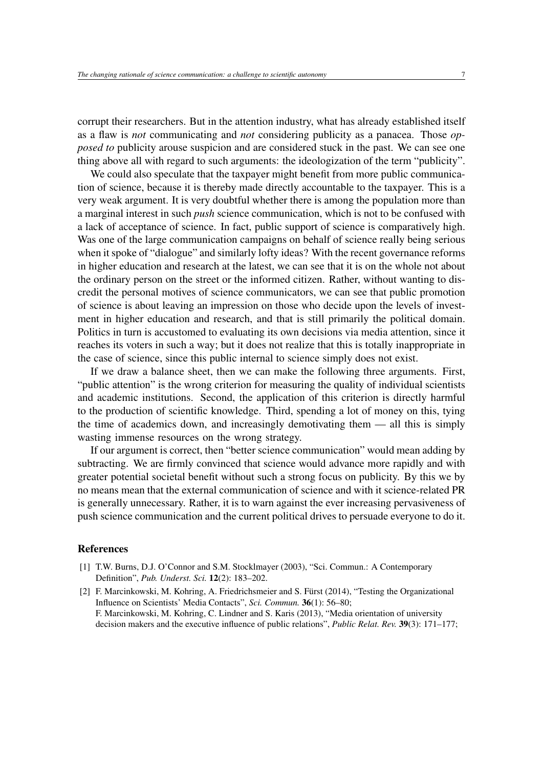corrupt their researchers. But in the attention industry, what has already established itself as a flaw is *not* communicating and *not* considering publicity as a panacea. Those *opposed to* publicity arouse suspicion and are considered stuck in the past. We can see one thing above all with regard to such arguments: the ideologization of the term "publicity".

We could also speculate that the taxpayer might benefit from more public communication of science, because it is thereby made directly accountable to the taxpayer. This is a very weak argument. It is very doubtful whether there is among the population more than a marginal interest in such *push* science communication, which is not to be confused with a lack of acceptance of science. In fact, public support of science is comparatively high. Was one of the large communication campaigns on behalf of science really being serious when it spoke of "dialogue" and similarly lofty ideas? With the recent governance reforms in higher education and research at the latest, we can see that it is on the whole not about the ordinary person on the street or the informed citizen. Rather, without wanting to discredit the personal motives of science communicators, we can see that public promotion of science is about leaving an impression on those who decide upon the levels of investment in higher education and research, and that is still primarily the political domain. Politics in turn is accustomed to evaluating its own decisions via media attention, since it reaches its voters in such a way; but it does not realize that this is totally inappropriate in the case of science, since this public internal to science simply does not exist.

If we draw a balance sheet, then we can make the following three arguments. First, "public attention" is the wrong criterion for measuring the quality of individual scientists and academic institutions. Second, the application of this criterion is directly harmful to the production of scientific knowledge. Third, spending a lot of money on this, tying the time of academics down, and increasingly demotivating them — all this is simply wasting immense resources on the wrong strategy.

If our argument is correct, then "better science communication" would mean adding by subtracting. We are firmly convinced that science would advance more rapidly and with greater potential societal benefit without such a strong focus on publicity. By this we by no means mean that the external communication of science and with it science-related PR is generally unnecessary. Rather, it is to warn against the ever increasing pervasiveness of push science communication and the current political drives to persuade everyone to do it.

#### References

- <span id="page-6-0"></span>[1] T.W. Burns, D.J. O'Connor and S.M. Stocklmayer (2003), "Sci. Commun.: A Contemporary Definition", *Pub. Underst. Sci.* 12(2): 183–202.
- <span id="page-6-1"></span>[2] F. Marcinkowski, M. Kohring, A. Friedrichsmeier and S. Fürst (2014), "Testing the Organizational Influence on Scientists' Media Contacts", *Sci. Commun.* 36(1): 56–80; F. Marcinkowski, M. Kohring, C. Lindner and S. Karis (2013), "Media orientation of university decision makers and the executive influence of public relations", *Public Relat. Rev.* 39(3): 171–177;